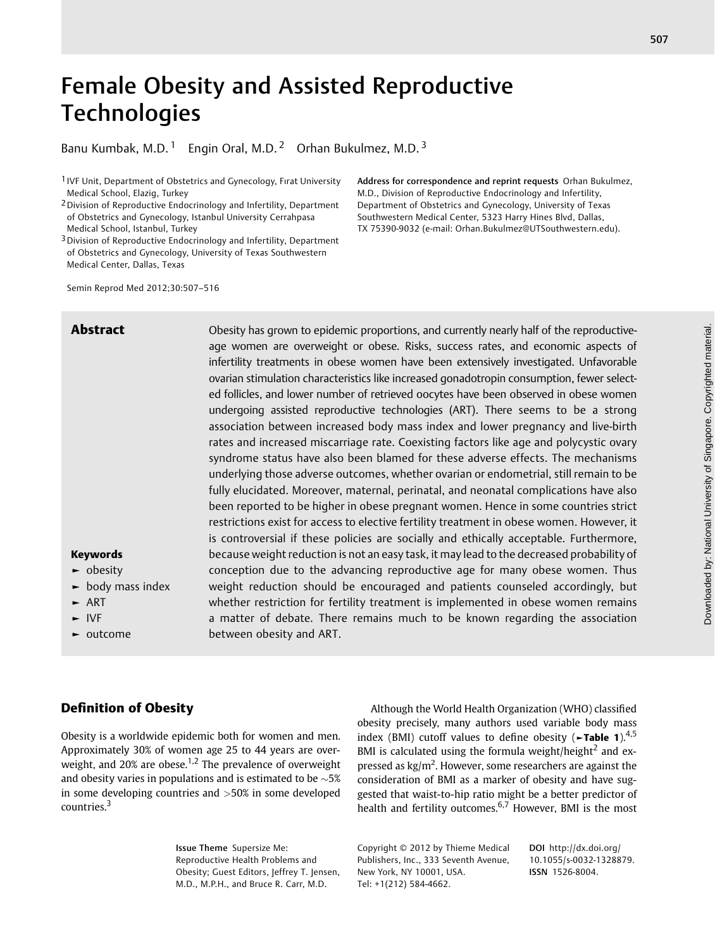# Female Obesity and Assisted Reproductive **Technologies**

Banu Kumbak, M.D.<sup>1</sup> Engin Oral, M.D.<sup>2</sup> Orhan Bukulmez, M.D.<sup>3</sup>

1 IVF Unit, Department of Obstetrics and Gynecology, Fırat University Medical School, Elazig, Turkey

2Division of Reproductive Endocrinology and Infertility, Department of Obstetrics and Gynecology, Istanbul University Cerrahpasa Medical School, Istanbul, Turkey

3Division of Reproductive Endocrinology and Infertility, Department of Obstetrics and Gynecology, University of Texas Southwestern Medical Center, Dallas, Texas

Semin Reprod Med 2012;30:507–516

Abstract Obesity has grown to epidemic proportions, and currently nearly half of the reproductiveage women are overweight or obese. Risks, success rates, and economic aspects of infertility treatments in obese women have been extensively investigated. Unfavorable ovarian stimulation characteristics like increased gonadotropin consumption, fewer selected follicles, and lower number of retrieved oocytes have been observed in obese women undergoing assisted reproductive technologies (ART). There seems to be a strong association between increased body mass index and lower pregnancy and live-birth rates and increased miscarriage rate. Coexisting factors like age and polycystic ovary syndrome status have also been blamed for these adverse effects. The mechanisms underlying those adverse outcomes, whether ovarian or endometrial, still remain to be fully elucidated. Moreover, maternal, perinatal, and neonatal complications have also been reported to be higher in obese pregnant women. Hence in some countries strict restrictions exist for access to elective fertility treatment in obese women. However, it is controversial if these policies are socially and ethically acceptable. Furthermore, because weight reduction is not an easy task, it may lead to the decreased probability of conception due to the advancing reproductive age for many obese women. Thus weight reduction should be encouraged and patients counseled accordingly, but whether restriction for fertility treatment is implemented in obese women remains a matter of debate. There remains much to be known regarding the association between obesity and ART.

# Keywords

- ► obesity
- ► body mass index
- $-$  ART
- ► IVF
- ► outcome

# Definition of Obesity

Obesity is a worldwide epidemic both for women and men. Approximately 30% of women age 25 to 44 years are overweight, and 20% are obese.<sup>1,2</sup> The prevalence of overweight and obesity varies in populations and is estimated to be  $~5\%$ in some developing countries and >50% in some developed countries.<sup>3</sup>

Although the World Health Organization (WHO) classified obesity precisely, many authors used variable body mass index (BMI) cutoff values to define obesity ( $\blacktriangleright$ Table 1).<sup>4,5</sup> BMI is calculated using the formula weight/height<sup>2</sup> and expressed as  $\text{kg/m}^2$ . However, some researchers are against the consideration of BMI as a marker of obesity and have suggested that waist-to-hip ratio might be a better predictor of health and fertility outcomes.<sup>6,7</sup> However, BMI is the most

Address for correspondence and reprint requests Orhan Bukulmez, M.D., Division of Reproductive Endocrinology and Infertility, Department of Obstetrics and Gynecology, University of Texas Southwestern Medical Center, 5323 Harry Hines Blvd, Dallas, TX 75390-9032 (e-mail: Orhan.Bukulmez@UTSouthwestern.edu).

Issue Theme Supersize Me: Reproductive Health Problems and Obesity; Guest Editors, Jeffrey T. Jensen, M.D., M.P.H., and Bruce R. Carr, M.D.

Copyright © 2012 by Thieme Medical Publishers, Inc., 333 Seventh Avenue, New York, NY 10001, USA. Tel: +1(212) 584-4662.

DOI http://dx.doi.org/ 10.1055/s-0032-1328879. ISSN 1526-8004.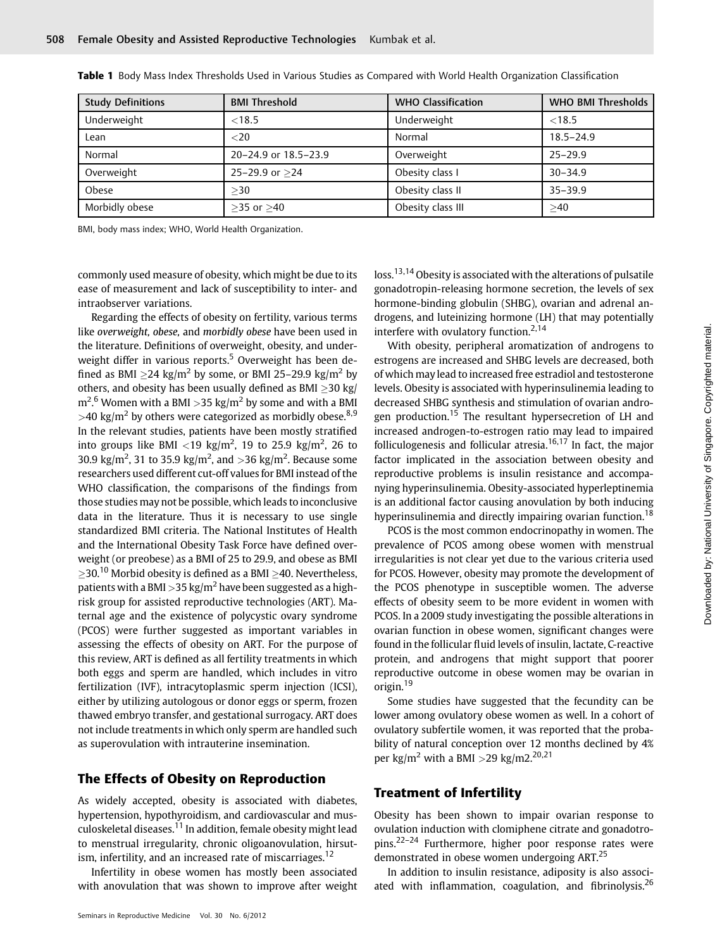| <b>Study Definitions</b> | <b>BMI Threshold</b> | <b>WHO Classification</b> | <b>WHO BMI Thresholds</b> |
|--------------------------|----------------------|---------------------------|---------------------------|
| Underweight              | < 18.5               | Underweight               | < 18.5                    |
| Lean                     | $<$ 20               | Normal                    | $18.5 - 24.9$             |
| Normal                   | 20-24.9 or 18.5-23.9 | Overweight                | $25 - 29.9$               |
| Overweight               | 25-29.9 or $>24$     | Obesity class I           | $30 - 34.9$               |
| Obese                    | >30                  | Obesity class II          | $35 - 39.9$               |
| Morbidly obese           | $>35$ or $>40$       | Obesity class III         | >40                       |

Table 1 Body Mass Index Thresholds Used in Various Studies as Compared with World Health Organization Classification

BMI, body mass index; WHO, World Health Organization.

commonly used measure of obesity, which might be due to its ease of measurement and lack of susceptibility to inter- and intraobserver variations.

Regarding the effects of obesity on fertility, various terms like overweight, obese, and morbidly obese have been used in the literature. Definitions of overweight, obesity, and underweight differ in various reports.<sup>5</sup> Overweight has been defined as BMI  $\geq$ 24 kg/m<sup>2</sup> by some, or BMI 25–29.9 kg/m<sup>2</sup> by others, and obesity has been usually defined as BMI  $\geq$ 30 kg/ m<sup>2</sup>.<sup>6</sup> Women with a BMI >35 kg/m<sup>2</sup> by some and with a BMI >40 kg/m<sup>2</sup> by others were categorized as morbidly obese.<sup>8,9</sup> In the relevant studies, patients have been mostly stratified into groups like BMI  ${<}19$  kg/m<sup>2</sup>, 19 to 25.9 kg/m<sup>2</sup>, 26 to 30.9 kg/m<sup>2</sup>, 31 to 35.9 kg/m<sup>2</sup>, and >36 kg/m<sup>2</sup>. Because some researchers used different cut-off values for BMI instead of the WHO classification, the comparisons of the findings from those studies may not be possible, which leads to inconclusive data in the literature. Thus it is necessary to use single standardized BMI criteria. The National Institutes of Health and the International Obesity Task Force have defined overweight (or preobese) as a BMI of 25 to 29.9, and obese as BMI  $>$ 30.<sup>10</sup> Morbid obesity is defined as a BMI  $>$ 40. Nevertheless, patients with a BMI  $>$ 35 kg/m<sup>2</sup> have been suggested as a highrisk group for assisted reproductive technologies (ART). Maternal age and the existence of polycystic ovary syndrome (PCOS) were further suggested as important variables in assessing the effects of obesity on ART. For the purpose of this review, ART is defined as all fertility treatments in which both eggs and sperm are handled, which includes in vitro fertilization (IVF), intracytoplasmic sperm injection (ICSI), either by utilizing autologous or donor eggs or sperm, frozen thawed embryo transfer, and gestational surrogacy. ART does not include treatments in which only sperm are handled such as superovulation with intrauterine insemination.

# The Effects of Obesity on Reproduction

As widely accepted, obesity is associated with diabetes, hypertension, hypothyroidism, and cardiovascular and musculoskeletal diseases.<sup>11</sup> In addition, female obesity might lead to menstrual irregularity, chronic oligoanovulation, hirsutism, infertility, and an increased rate of miscarriages.<sup>12</sup>

Infertility in obese women has mostly been associated with anovulation that was shown to improve after weight

loss.<sup>13,14</sup> Obesity is associated with the alterations of pulsatile gonadotropin-releasing hormone secretion, the levels of sex hormone-binding globulin (SHBG), ovarian and adrenal androgens, and luteinizing hormone (LH) that may potentially interfere with ovulatory function.<sup>2,14</sup>

With obesity, peripheral aromatization of androgens to estrogens are increased and SHBG levels are decreased, both of which may lead to increased free estradiol and testosterone levels. Obesity is associated with hyperinsulinemia leading to decreased SHBG synthesis and stimulation of ovarian androgen production.<sup>15</sup> The resultant hypersecretion of LH and increased androgen-to-estrogen ratio may lead to impaired folliculogenesis and follicular atresia.<sup>16,17</sup> In fact, the major factor implicated in the association between obesity and reproductive problems is insulin resistance and accompanying hyperinsulinemia. Obesity-associated hyperleptinemia is an additional factor causing anovulation by both inducing hyperinsulinemia and directly impairing ovarian function.<sup>18</sup>

PCOS is the most common endocrinopathy in women. The prevalence of PCOS among obese women with menstrual irregularities is not clear yet due to the various criteria used for PCOS. However, obesity may promote the development of the PCOS phenotype in susceptible women. The adverse effects of obesity seem to be more evident in women with PCOS. In a 2009 study investigating the possible alterations in ovarian function in obese women, significant changes were found in the follicular fluid levels of insulin, lactate, C-reactive protein, and androgens that might support that poorer reproductive outcome in obese women may be ovarian in origin.<sup>19</sup>

Some studies have suggested that the fecundity can be lower among ovulatory obese women as well. In a cohort of ovulatory subfertile women, it was reported that the probability of natural conception over 12 months declined by 4% per kg/m<sup>2</sup> with a BMI > 29 kg/m2.<sup>20,21</sup>

# Treatment of Infertility

Obesity has been shown to impair ovarian response to ovulation induction with clomiphene citrate and gonadotropins.22–<sup>24</sup> Furthermore, higher poor response rates were demonstrated in obese women undergoing ART.<sup>25</sup>

In addition to insulin resistance, adiposity is also associated with inflammation, coagulation, and fibrinolysis.<sup>26</sup>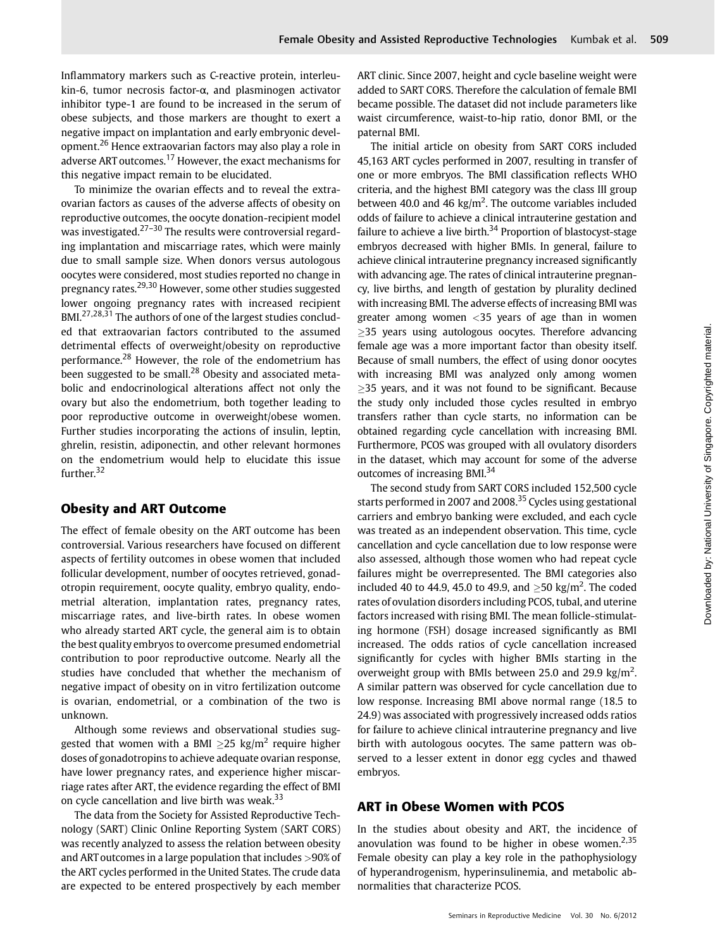Inflammatory markers such as C-reactive protein, interleukin-6, tumor necrosis factor-α, and plasminogen activator inhibitor type-1 are found to be increased in the serum of obese subjects, and those markers are thought to exert a negative impact on implantation and early embryonic development.<sup>26</sup> Hence extraovarian factors may also play a role in adverse ART outcomes.<sup>17</sup> However, the exact mechanisms for this negative impact remain to be elucidated.

To minimize the ovarian effects and to reveal the extraovarian factors as causes of the adverse affects of obesity on reproductive outcomes, the oocyte donation-recipient model was investigated. $27-30$  The results were controversial regarding implantation and miscarriage rates, which were mainly due to small sample size. When donors versus autologous oocytes were considered, most studies reported no change in pregnancy rates.29,30 However, some other studies suggested lower ongoing pregnancy rates with increased recipient BMI.<sup>27,28,31</sup> The authors of one of the largest studies concluded that extraovarian factors contributed to the assumed detrimental effects of overweight/obesity on reproductive performance.<sup>28</sup> However, the role of the endometrium has been suggested to be small. $^{28}$  Obesity and associated metabolic and endocrinological alterations affect not only the ovary but also the endometrium, both together leading to poor reproductive outcome in overweight/obese women. Further studies incorporating the actions of insulin, leptin, ghrelin, resistin, adiponectin, and other relevant hormones on the endometrium would help to elucidate this issue further.<sup>32</sup>

# Obesity and ART Outcome

The effect of female obesity on the ART outcome has been controversial. Various researchers have focused on different aspects of fertility outcomes in obese women that included follicular development, number of oocytes retrieved, gonadotropin requirement, oocyte quality, embryo quality, endometrial alteration, implantation rates, pregnancy rates, miscarriage rates, and live-birth rates. In obese women who already started ART cycle, the general aim is to obtain the best quality embryos to overcome presumed endometrial contribution to poor reproductive outcome. Nearly all the studies have concluded that whether the mechanism of negative impact of obesity on in vitro fertilization outcome is ovarian, endometrial, or a combination of the two is unknown.

Although some reviews and observational studies suggested that women with a BMI  $>$ 25 kg/m<sup>2</sup> require higher doses of gonadotropins to achieve adequate ovarian response, have lower pregnancy rates, and experience higher miscarriage rates after ART, the evidence regarding the effect of BMI on cycle cancellation and live birth was weak.<sup>33</sup>

The data from the Society for Assisted Reproductive Technology (SART) Clinic Online Reporting System (SART CORS) was recently analyzed to assess the relation between obesity and ART outcomes in a large population that includes >90% of the ART cycles performed in the United States. The crude data are expected to be entered prospectively by each member ART clinic. Since 2007, height and cycle baseline weight were added to SART CORS. Therefore the calculation of female BMI became possible. The dataset did not include parameters like waist circumference, waist-to-hip ratio, donor BMI, or the paternal BMI.

The initial article on obesity from SART CORS included 45,163 ART cycles performed in 2007, resulting in transfer of one or more embryos. The BMI classification reflects WHO criteria, and the highest BMI category was the class III group between 40.0 and 46  $\text{kg/m}^2$ . The outcome variables included odds of failure to achieve a clinical intrauterine gestation and failure to achieve a live birth.<sup>34</sup> Proportion of blastocyst-stage embryos decreased with higher BMIs. In general, failure to achieve clinical intrauterine pregnancy increased significantly with advancing age. The rates of clinical intrauterine pregnancy, live births, and length of gestation by plurality declined with increasing BMI. The adverse effects of increasing BMI was greater among women <35 years of age than in women  $\geq$ 35 years using autologous oocytes. Therefore advancing female age was a more important factor than obesity itself. Because of small numbers, the effect of using donor oocytes with increasing BMI was analyzed only among women  $\geq$ 35 years, and it was not found to be significant. Because the study only included those cycles resulted in embryo transfers rather than cycle starts, no information can be obtained regarding cycle cancellation with increasing BMI. Furthermore, PCOS was grouped with all ovulatory disorders in the dataset, which may account for some of the adverse outcomes of increasing BMI.<sup>34</sup>

The second study from SART CORS included 152,500 cycle starts performed in 2007 and 2008.<sup>35</sup> Cycles using gestational carriers and embryo banking were excluded, and each cycle was treated as an independent observation. This time, cycle cancellation and cycle cancellation due to low response were also assessed, although those women who had repeat cycle failures might be overrepresented. The BMI categories also included 40 to 44.9, 45.0 to 49.9, and  $\geq$ 50 kg/m<sup>2</sup>. The coded rates of ovulation disorders including PCOS, tubal, and uterine factors increased with rising BMI. The mean follicle-stimulating hormone (FSH) dosage increased significantly as BMI increased. The odds ratios of cycle cancellation increased significantly for cycles with higher BMIs starting in the overweight group with BMIs between 25.0 and 29.9 kg/m<sup>2</sup>. A similar pattern was observed for cycle cancellation due to low response. Increasing BMI above normal range (18.5 to 24.9) was associated with progressively increased odds ratios for failure to achieve clinical intrauterine pregnancy and live birth with autologous oocytes. The same pattern was observed to a lesser extent in donor egg cycles and thawed embryos.

# ART in Obese Women with PCOS

In the studies about obesity and ART, the incidence of anovulation was found to be higher in obese women.<sup>2,35</sup> Female obesity can play a key role in the pathophysiology of hyperandrogenism, hyperinsulinemia, and metabolic abnormalities that characterize PCOS.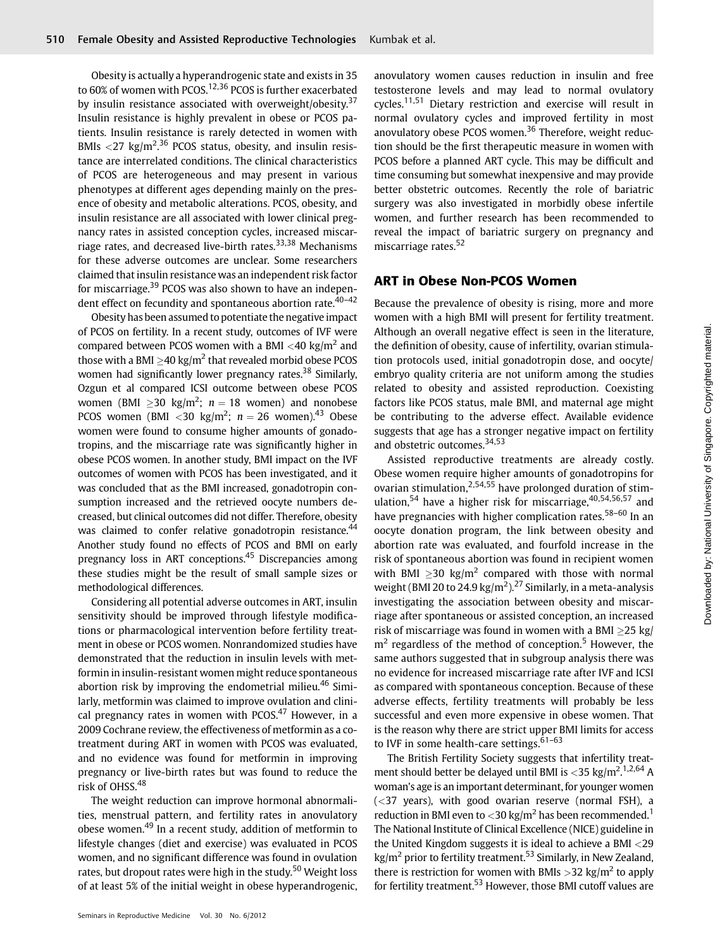Obesity is actually a hyperandrogenic state and exists in 35 to 60% of women with PCOS.<sup>12,36</sup> PCOS is further exacerbated by insulin resistance associated with overweight/obesity.<sup>37</sup> Insulin resistance is highly prevalent in obese or PCOS patients. Insulin resistance is rarely detected in women with BMIs  $\langle 27 \text{ kg/m}^2 \text{.}^{36}$  PCOS status, obesity, and insulin resistance are interrelated conditions. The clinical characteristics of PCOS are heterogeneous and may present in various phenotypes at different ages depending mainly on the presence of obesity and metabolic alterations. PCOS, obesity, and insulin resistance are all associated with lower clinical pregnancy rates in assisted conception cycles, increased miscarriage rates, and decreased live-birth rates.<sup>33,38</sup> Mechanisms for these adverse outcomes are unclear. Some researchers claimed that insulin resistance was an independent risk factor for miscarriage.<sup>39</sup> PCOS was also shown to have an independent effect on fecundity and spontaneous abortion rate.<sup>40-42</sup>

Obesity has been assumed to potentiate the negative impact of PCOS on fertility. In a recent study, outcomes of IVF were compared between PCOS women with a BMI  $<$ 40 kg/m<sup>2</sup> and those with a BMI  $\geq$ 40 kg/m<sup>2</sup> that revealed morbid obese PCOS women had significantly lower pregnancy rates.<sup>38</sup> Similarly, Ozgun et al compared ICSI outcome between obese PCOS women (BMI  $\geq$ 30 kg/m<sup>2</sup>;  $n = 18$  women) and nonobese PCOS women (BMI  $<$ 30 kg/m<sup>2</sup>;  $n = 26$  women).<sup>43</sup> Obese women were found to consume higher amounts of gonadotropins, and the miscarriage rate was significantly higher in obese PCOS women. In another study, BMI impact on the IVF outcomes of women with PCOS has been investigated, and it was concluded that as the BMI increased, gonadotropin consumption increased and the retrieved oocyte numbers decreased, but clinical outcomes did not differ. Therefore, obesity was claimed to confer relative gonadotropin resistance.<sup>44</sup> Another study found no effects of PCOS and BMI on early pregnancy loss in ART conceptions.<sup>45</sup> Discrepancies among these studies might be the result of small sample sizes or methodological differences.

Considering all potential adverse outcomes in ART, insulin sensitivity should be improved through lifestyle modifications or pharmacological intervention before fertility treatment in obese or PCOS women. Nonrandomized studies have demonstrated that the reduction in insulin levels with metformin in insulin-resistant women might reduce spontaneous abortion risk by improving the endometrial milieu.<sup>46</sup> Similarly, metformin was claimed to improve ovulation and clinical pregnancy rates in women with  $PCOS<sub>1</sub><sup>47</sup>$  However, in a 2009 Cochrane review, the effectiveness of metformin as a cotreatment during ART in women with PCOS was evaluated, and no evidence was found for metformin in improving pregnancy or live-birth rates but was found to reduce the risk of OHSS.<sup>48</sup>

The weight reduction can improve hormonal abnormalities, menstrual pattern, and fertility rates in anovulatory obese women.<sup>49</sup> In a recent study, addition of metformin to lifestyle changes (diet and exercise) was evaluated in PCOS women, and no significant difference was found in ovulation rates, but dropout rates were high in the study.<sup>50</sup> Weight loss of at least 5% of the initial weight in obese hyperandrogenic, anovulatory women causes reduction in insulin and free testosterone levels and may lead to normal ovulatory cycles.11,51 Dietary restriction and exercise will result in normal ovulatory cycles and improved fertility in most anovulatory obese PCOS women. $36$  Therefore, weight reduction should be the first therapeutic measure in women with PCOS before a planned ART cycle. This may be difficult and time consuming but somewhat inexpensive and may provide better obstetric outcomes. Recently the role of bariatric surgery was also investigated in morbidly obese infertile women, and further research has been recommended to reveal the impact of bariatric surgery on pregnancy and miscarriage rates.<sup>52</sup>

# ART in Obese Non-PCOS Women

Because the prevalence of obesity is rising, more and more women with a high BMI will present for fertility treatment. Although an overall negative effect is seen in the literature, the definition of obesity, cause of infertility, ovarian stimulation protocols used, initial gonadotropin dose, and oocyte/ embryo quality criteria are not uniform among the studies related to obesity and assisted reproduction. Coexisting factors like PCOS status, male BMI, and maternal age might be contributing to the adverse effect. Available evidence suggests that age has a stronger negative impact on fertility and obstetric outcomes.34,53

Assisted reproductive treatments are already costly. Obese women require higher amounts of gonadotropins for ovarian stimulation,  $2,54,55$  have prolonged duration of stimulation,<sup>54</sup> have a higher risk for miscarriage,<sup>40,54,56,57</sup> and have pregnancies with higher complication rates.<sup>58–60</sup> In an oocyte donation program, the link between obesity and abortion rate was evaluated, and fourfold increase in the risk of spontaneous abortion was found in recipient women with BMI  $>$ 30 kg/m<sup>2</sup> compared with those with normal weight (BMI 20 to 24.9 kg/m<sup>2</sup>).<sup>27</sup> Similarly, in a meta-analysis investigating the association between obesity and miscarriage after spontaneous or assisted conception, an increased risk of miscarriage was found in women with a BMI  $>$ 25 kg/  $m<sup>2</sup>$  regardless of the method of conception.<sup>5</sup> However, the same authors suggested that in subgroup analysis there was no evidence for increased miscarriage rate after IVF and ICSI as compared with spontaneous conception. Because of these adverse effects, fertility treatments will probably be less successful and even more expensive in obese women. That is the reason why there are strict upper BMI limits for access to IVF in some health-care settings.  $61-63$ 

The British Fertility Society suggests that infertility treatment should better be delayed until BMI is <35 kg/m<sup>2</sup>.<sup>1,2,64</sup> A woman's age is an important determinant, for younger women  $(<$ 37 years), with good ovarian reserve (normal FSH), a reduction in BMI even to  $<$  30 kg/m<sup>2</sup> has been recommended.<sup>1</sup> The National Institute of Clinical Excellence (NICE) guideline in the United Kingdom suggests it is ideal to achieve a BMI <29  $kg/m<sup>2</sup>$  prior to fertility treatment.<sup>53</sup> Similarly, in New Zealand, there is restriction for women with BMIs  $>$ 32 kg/m<sup>2</sup> to apply for fertility treatment.<sup>53</sup> However, those BMI cutoff values are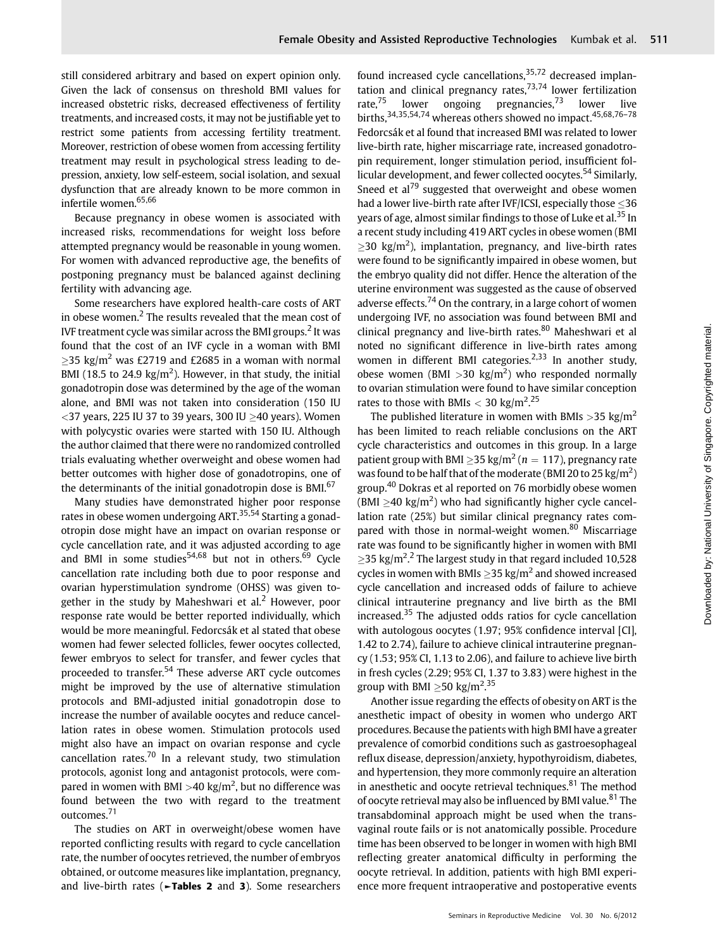still considered arbitrary and based on expert opinion only. Given the lack of consensus on threshold BMI values for increased obstetric risks, decreased effectiveness of fertility treatments, and increased costs, it may not be justifiable yet to restrict some patients from accessing fertility treatment. Moreover, restriction of obese women from accessing fertility treatment may result in psychological stress leading to depression, anxiety, low self-esteem, social isolation, and sexual dysfunction that are already known to be more common in infertile women.65,66

Because pregnancy in obese women is associated with increased risks, recommendations for weight loss before attempted pregnancy would be reasonable in young women. For women with advanced reproductive age, the benefits of postponing pregnancy must be balanced against declining fertility with advancing age.

Some researchers have explored health-care costs of ART in obese women. $2$  The results revealed that the mean cost of IVF treatment cycle was similar across the BMI groups.<sup>2</sup> It was found that the cost of an IVF cycle in a woman with BMI  $\geq$ 35 kg/m<sup>2</sup> was £2719 and £2685 in a woman with normal BMI (18.5 to 24.9  $\text{kg/m}^2$ ). However, in that study, the initial gonadotropin dose was determined by the age of the woman alone, and BMI was not taken into consideration (150 IU  $<$ 37 years, 225 IU 37 to 39 years, 300 IU  $\geq$ 40 years). Women with polycystic ovaries were started with 150 IU. Although the author claimed that there were no randomized controlled trials evaluating whether overweight and obese women had better outcomes with higher dose of gonadotropins, one of the determinants of the initial gonadotropin dose is BMI.<sup>67</sup>

Many studies have demonstrated higher poor response rates in obese women undergoing ART.35,54 Starting a gonadotropin dose might have an impact on ovarian response or cycle cancellation rate, and it was adjusted according to age and BMI in some studies<sup>54,68</sup> but not in others.<sup>69</sup> Cycle cancellation rate including both due to poor response and ovarian hyperstimulation syndrome (OHSS) was given together in the study by Maheshwari et al.<sup>2</sup> However, poor response rate would be better reported individually, which would be more meaningful. Fedorcsák et al stated that obese women had fewer selected follicles, fewer oocytes collected, fewer embryos to select for transfer, and fewer cycles that proceeded to transfer.<sup>54</sup> These adverse ART cycle outcomes might be improved by the use of alternative stimulation protocols and BMI-adjusted initial gonadotropin dose to increase the number of available oocytes and reduce cancellation rates in obese women. Stimulation protocols used might also have an impact on ovarian response and cycle cancellation rates.<sup>70</sup> In a relevant study, two stimulation protocols, agonist long and antagonist protocols, were compared in women with BMI >40 kg/m<sup>2</sup>, but no difference was found between the two with regard to the treatment outcomes.<sup>71</sup>

The studies on ART in overweight/obese women have reported conflicting results with regard to cycle cancellation rate, the number of oocytes retrieved, the number of embryos obtained, or outcome measures like implantation, pregnancy, and live-birth rates (►Tables 2 and 3). Some researchers found increased cycle cancellations,  $35,72$  decreased implantation and clinical pregnancy rates, $73,74$  lower fertilization rate,<sup>75</sup> lower ongoing pregnancies,<sup>73</sup> lower live births,  $34,35,54,74$  whereas others showed no impact.  $45,68,76-78$ Fedorcsák et al found that increased BMI was related to lower live-birth rate, higher miscarriage rate, increased gonadotropin requirement, longer stimulation period, insufficient follicular development, and fewer collected oocytes.<sup>54</sup> Similarly, Sneed et  $al^{79}$  suggested that overweight and obese women had a lower live-birth rate after IVF/ICSI, especially those  $\leq$ 36 years of age, almost similar findings to those of Luke et al.<sup>35</sup> In a recent study including 419 ART cycles in obese women (BMI  $\geq$ 30 kg/m<sup>2</sup>), implantation, pregnancy, and live-birth rates were found to be significantly impaired in obese women, but the embryo quality did not differ. Hence the alteration of the uterine environment was suggested as the cause of observed adverse effects.<sup>74</sup> On the contrary, in a large cohort of women undergoing IVF, no association was found between BMI and clinical pregnancy and live-birth rates.<sup>80</sup> Maheshwari et al noted no significant difference in live-birth rates among women in different BMI categories.<sup>2,33</sup> In another study, obese women (BMI > 30 kg/m<sup>2</sup>) who responded normally to ovarian stimulation were found to have similar conception rates to those with BMIs  $<$  30 kg/m<sup>2</sup>.<sup>25</sup>

The published literature in women with BMIs  $>$ 35 kg/m<sup>2</sup> has been limited to reach reliable conclusions on the ART cycle characteristics and outcomes in this group. In a large patient group with BMI  $\geq$ 35 kg/m<sup>2</sup> (n = 117), pregnancy rate was found to be half that of the moderate (BMI 20 to 25 kg/m<sup>2</sup>) group.<sup>40</sup> Dokras et al reported on 76 morbidly obese women  $(BMI \geq 40 \text{ kg/m}^2)$  who had significantly higher cycle cancellation rate (25%) but similar clinical pregnancy rates compared with those in normal-weight women.<sup>80</sup> Miscarriage rate was found to be significantly higher in women with BMI  $\geq$ 35 kg/m<sup>2</sup>.<sup>2</sup> The largest study in that regard included 10,528 cycles in women with BMIs  $>$ 35 kg/m<sup>2</sup> and showed increased cycle cancellation and increased odds of failure to achieve clinical intrauterine pregnancy and live birth as the BMI increased.<sup>35</sup> The adjusted odds ratios for cycle cancellation with autologous oocytes (1.97; 95% confidence interval [CI], 1.42 to 2.74), failure to achieve clinical intrauterine pregnancy (1.53; 95% CI, 1.13 to 2.06), and failure to achieve live birth in fresh cycles (2.29; 95% CI, 1.37 to 3.83) were highest in the group with BMI  $\geq$ 50 kg/m<sup>2</sup>.<sup>35</sup>

Another issue regarding the effects of obesity on ART is the anesthetic impact of obesity in women who undergo ART procedures. Because the patients with high BMI have a greater prevalence of comorbid conditions such as gastroesophageal reflux disease, depression/anxiety, hypothyroidism, diabetes, and hypertension, they more commonly require an alteration in anesthetic and oocyte retrieval techniques. $81$  The method of oocyte retrieval may also be influenced by BMI value.<sup>81</sup> The transabdominal approach might be used when the transvaginal route fails or is not anatomically possible. Procedure time has been observed to be longer in women with high BMI reflecting greater anatomical difficulty in performing the oocyte retrieval. In addition, patients with high BMI experience more frequent intraoperative and postoperative events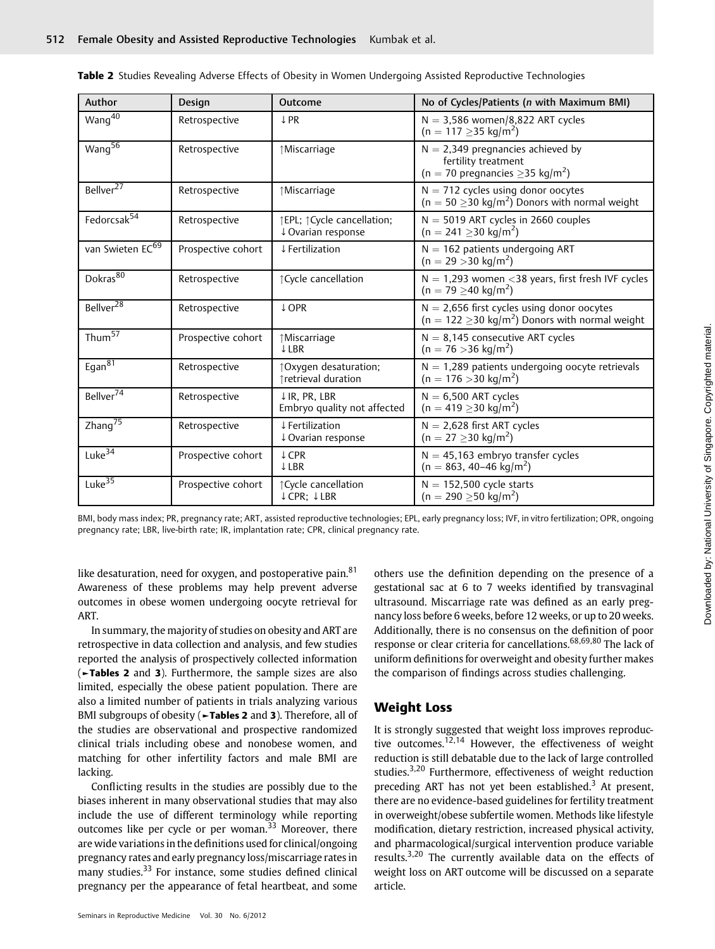| Author                       | Design             | Outcome                                                 | No of Cycles/Patients (n with Maximum BMI)                                                                        |  |  |
|------------------------------|--------------------|---------------------------------------------------------|-------------------------------------------------------------------------------------------------------------------|--|--|
| $W$ ang $\overline{40}$      | Retrospective      | ↓ PR                                                    | $N = 3,586$ women/8,822 ART cycles<br>$(n = 117 \ge 35 \text{ kg/m}^2)$                                           |  |  |
| Wang <sup>56</sup>           | Retrospective      | ↑Miscarriage                                            | $N = 2,349$ pregnancies achieved by<br>fertility treatment<br>$(n = 70$ pregnancies $\geq$ 35 kg/m <sup>2</sup> ) |  |  |
| Bellver <sup>27</sup>        | Retrospective      | ↑Miscarriage                                            | $N = 712$ cycles using donor oocytes<br>$(n = 50 \ge 30 \text{ kg/m}^2)$ Donors with normal weight                |  |  |
| Fedorcsak <sup>54</sup>      | Retrospective      | fEPL; fCycle cancellation;<br>↓ Ovarian response        | $N = 5019$ ART cycles in 2660 couples<br>$(n = 241 \ge 30 \text{ kg/m}^2)$                                        |  |  |
| van Swieten EC <sup>69</sup> | Prospective cohort | ↓ Fertilization                                         | $N = 162$ patients undergoing ART<br>$(n = 29 > 30 \text{ kg/m}^2)$                                               |  |  |
| Dokras <sup>80</sup>         | Retrospective      | ↑ Cycle cancellation                                    | $N = 1,293$ women < 38 years, first fresh IVF cycles<br>$(n = 79 \ge 40 \text{ kg/m}^2)$                          |  |  |
| Bellver <sup>28</sup>        | Retrospective      | ↓ OPR                                                   | $N = 2,656$ first cycles using donor oocytes<br>$(n = 122 \ge 30 \text{ kg/m}^2)$ Donors with normal weight       |  |  |
| Thum <sup>57</sup>           | Prospective cohort | ↑Miscarriage<br><b>JLBR</b>                             | $N = 8,145$ consecutive ART cycles<br>$(n = 76 > 36 \text{ kg/m}^2)$                                              |  |  |
| Egan $\overline{81}$         | Retrospective      | ↑Oxygen desaturation;<br>↑retrieval duration            | $N = 1,289$ patients undergoing oocyte retrievals<br>$(n = 176 > 30 \text{ kg/m}^2)$                              |  |  |
| Bellver <sup>74</sup>        | Retrospective      | $\downarrow$ IR. PR. LBR<br>Embryo quality not affected | $N = 6,500$ ART cycles<br>$(n = 419 \ge 30 \text{ kg/m}^2)$                                                       |  |  |
| Zhang <sup>75</sup>          | Retrospective      | ↓ Fertilization<br>↓ Ovarian response                   | $N = 2,628$ first ART cycles<br>$(n = 27 \ge 30 \text{ kg/m}^2)$                                                  |  |  |
| Luke $\overline{34}$         | Prospective cohort | ↓ CPR<br>↓LBR                                           | $N = 45,163$ embryo transfer cycles<br>$(n = 863, 40-46 \text{ kg/m}^2)$                                          |  |  |
| Luke $\overline{35}$         | Prospective cohort | ↑ Cycle cancellation<br>↓ CPR: ↓LBR                     | $N = 152,500$ cycle starts<br>$(n = 290 \ge 50 \text{ kg/m}^2)$                                                   |  |  |

|  | Table 2 Studies Revealing Adverse Effects of Obesity in Women Undergoing Assisted Reproductive Technologies |  |  |  |  |  |  |  |
|--|-------------------------------------------------------------------------------------------------------------|--|--|--|--|--|--|--|
|  |                                                                                                             |  |  |  |  |  |  |  |

BMI, body mass index; PR, pregnancy rate; ART, assisted reproductive technologies; EPL, early pregnancy loss; IVF, in vitro fertilization; OPR, ongoing pregnancy rate; LBR, live-birth rate; IR, implantation rate; CPR, clinical pregnancy rate.

like desaturation, need for oxygen, and postoperative pain. $81$ Awareness of these problems may help prevent adverse outcomes in obese women undergoing oocyte retrieval for ART.

In summary, the majority of studies on obesity and ART are retrospective in data collection and analysis, and few studies reported the analysis of prospectively collected information (►Tables 2 and 3). Furthermore, the sample sizes are also limited, especially the obese patient population. There are also a limited number of patients in trials analyzing various BMI subgroups of obesity ( $\blacktriangleright$ Tables 2 and 3). Therefore, all of the studies are observational and prospective randomized clinical trials including obese and nonobese women, and matching for other infertility factors and male BMI are lacking.

Conflicting results in the studies are possibly due to the biases inherent in many observational studies that may also include the use of different terminology while reporting outcomes like per cycle or per woman.<sup>33</sup> Moreover, there are wide variations in the definitions used for clinical/ongoing pregnancy rates and early pregnancy loss/miscarriage rates in many studies.<sup>33</sup> For instance, some studies defined clinical pregnancy per the appearance of fetal heartbeat, and some

Seminars in Reproductive Medicine Vol. 30 No. 6/2012

others use the definition depending on the presence of a gestational sac at 6 to 7 weeks identified by transvaginal ultrasound. Miscarriage rate was defined as an early pregnancy loss before 6 weeks, before 12 weeks, or up to 20 weeks. Additionally, there is no consensus on the definition of poor response or clear criteria for cancellations.<sup>68,69,80</sup> The lack of uniform definitions for overweight and obesity further makes the comparison of findings across studies challenging.

# Weight Loss

It is strongly suggested that weight loss improves reproductive outcomes.<sup>12,14</sup> However, the effectiveness of weight reduction is still debatable due to the lack of large controlled studies.3,20 Furthermore, effectiveness of weight reduction preceding ART has not yet been established.<sup>3</sup> At present, there are no evidence-based guidelines for fertility treatment in overweight/obese subfertile women. Methods like lifestyle modification, dietary restriction, increased physical activity, and pharmacological/surgical intervention produce variable results.<sup>3,20</sup> The currently available data on the effects of weight loss on ART outcome will be discussed on a separate article.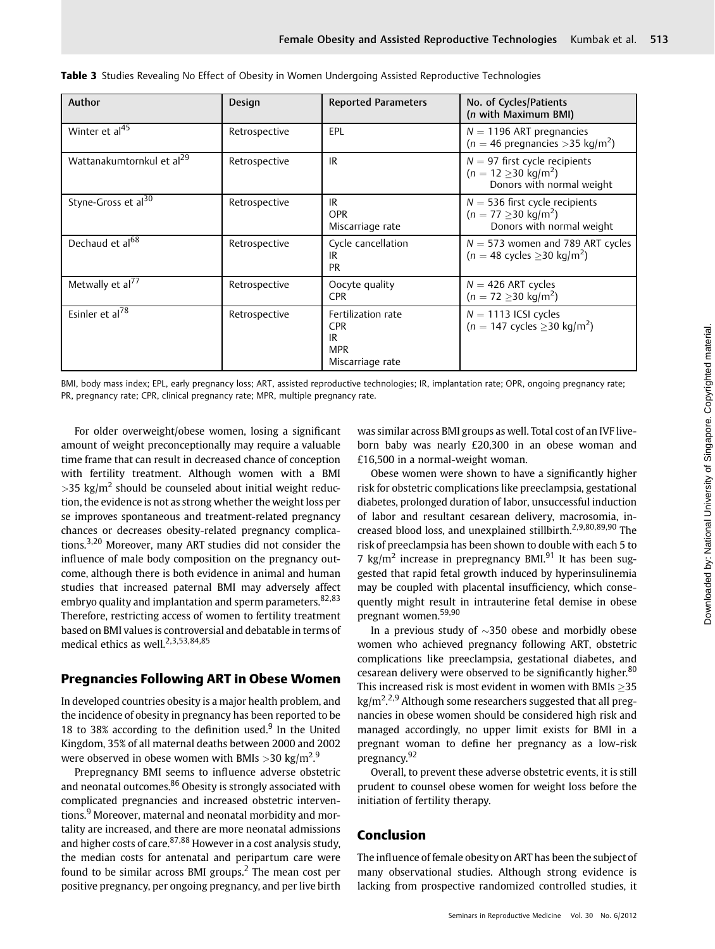| Author                                | Design        | <b>Reported Parameters</b>                                               | No. of Cycles/Patients<br>(n with Maximum BMI)                                                    |
|---------------------------------------|---------------|--------------------------------------------------------------------------|---------------------------------------------------------------------------------------------------|
| Winter et al <sup>45</sup>            | Retrospective | EPL                                                                      | $N = 1196$ ART pregnancies<br>$(n = 46$ pregnancies > 35 kg/m <sup>2</sup> )                      |
| Wattanakumtornkul et al <sup>29</sup> | Retrospective | IR                                                                       | $N = 97$ first cycle recipients<br>$(n = 12 > 30 \text{ kg/m}^2)$<br>Donors with normal weight    |
| Styne-Gross et al <sup>30</sup>       | Retrospective | IR<br><b>OPR</b><br>Miscarriage rate                                     | $N = 536$ first cycle recipients<br>$(n = 77 \ge 30 \text{ kg/m}^2)$<br>Donors with normal weight |
| Dechaud et al <sup>68</sup>           | Retrospective | Cycle cancellation<br>IR<br><b>PR</b>                                    | $N = 573$ women and 789 ART cycles<br>$(n = 48 \text{ cycles } \geq 30 \text{ kg/m}^2)$           |
| Metwally et al <sup>77</sup>          | Retrospective | Oocyte quality<br><b>CPR</b>                                             | $N = 426$ ART cycles<br>$(n = 72 \ge 30 \text{ kg/m}^2)$                                          |
| Esinler et al <sup>78</sup>           | Retrospective | Fertilization rate<br><b>CPR</b><br>IR<br><b>MPR</b><br>Miscarriage rate | $N = 1113$ ICSI cycles<br>$(n = 147 \text{ cycles} \geq 30 \text{ kg/m}^2)$                       |

| Table 3 Studies Revealing No Effect of Obesity in Women Undergoing Assisted Reproductive Technologies |  |  |
|-------------------------------------------------------------------------------------------------------|--|--|
|-------------------------------------------------------------------------------------------------------|--|--|

BMI, body mass index; EPL, early pregnancy loss; ART, assisted reproductive technologies; IR, implantation rate; OPR, ongoing pregnancy rate; PR, pregnancy rate; CPR, clinical pregnancy rate; MPR, multiple pregnancy rate.

For older overweight/obese women, losing a significant amount of weight preconceptionally may require a valuable time frame that can result in decreased chance of conception with fertility treatment. Although women with a BMI  $>$ 35 kg/m<sup>2</sup> should be counseled about initial weight reduction, the evidence is not as strong whether the weight loss per se improves spontaneous and treatment-related pregnancy chances or decreases obesity-related pregnancy complications.3,20 Moreover, many ART studies did not consider the influence of male body composition on the pregnancy outcome, although there is both evidence in animal and human studies that increased paternal BMI may adversely affect embryo quality and implantation and sperm parameters.<sup>82,83</sup> Therefore, restricting access of women to fertility treatment based on BMI values is controversial and debatable in terms of medical ethics as well.<sup>2,3,53,84,85</sup>

# Pregnancies Following ART in Obese Women

In developed countries obesity is a major health problem, and the incidence of obesity in pregnancy has been reported to be 18 to 38% according to the definition used.<sup>9</sup> In the United Kingdom, 35% of all maternal deaths between 2000 and 2002 were observed in obese women with BMIs  $>$  30 kg/m<sup>2</sup>.<sup>9</sup>

Prepregnancy BMI seems to influence adverse obstetric and neonatal outcomes.<sup>86</sup> Obesity is strongly associated with complicated pregnancies and increased obstetric interventions.<sup>9</sup> Moreover, maternal and neonatal morbidity and mortality are increased, and there are more neonatal admissions and higher costs of care.  $87,88$  However in a cost analysis study, the median costs for antenatal and peripartum care were found to be similar across BMI groups.<sup>2</sup> The mean cost per positive pregnancy, per ongoing pregnancy, and per live birth was similar across BMI groups as well. Total cost of an IVF liveborn baby was nearly £20,300 in an obese woman and £16,500 in a normal-weight woman.

Obese women were shown to have a significantly higher risk for obstetric complications like preeclampsia, gestational diabetes, prolonged duration of labor, unsuccessful induction of labor and resultant cesarean delivery, macrosomia, increased blood loss, and unexplained stillbirth.<sup>2,9,80,89,90</sup> The risk of preeclampsia has been shown to double with each 5 to 7  $\text{kg/m}^2$  increase in prepregnancy BMI.<sup>91</sup> It has been suggested that rapid fetal growth induced by hyperinsulinemia may be coupled with placental insufficiency, which consequently might result in intrauterine fetal demise in obese pregnant women.59,90

In a previous study of  $\sim$ 350 obese and morbidly obese women who achieved pregnancy following ART, obstetric complications like preeclampsia, gestational diabetes, and cesarean delivery were observed to be significantly higher.<sup>80</sup> This increased risk is most evident in women with BMIs  $>$ 35 kg/m<sup>2,2,9</sup> Although some researchers suggested that all pregnancies in obese women should be considered high risk and managed accordingly, no upper limit exists for BMI in a pregnant woman to define her pregnancy as a low-risk pregnancy.<sup>92</sup>

Overall, to prevent these adverse obstetric events, it is still prudent to counsel obese women for weight loss before the initiation of fertility therapy.

# Conclusion

The influence of female obesity on ART has been the subject of many observational studies. Although strong evidence is lacking from prospective randomized controlled studies, it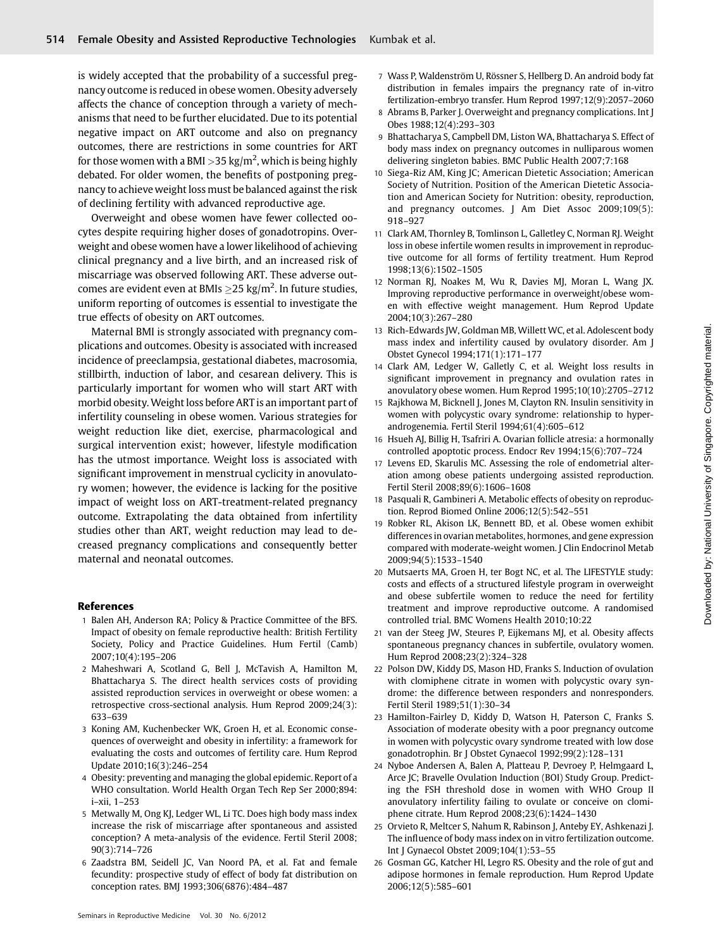is widely accepted that the probability of a successful pregnancy outcome is reduced in obese women. Obesity adversely affects the chance of conception through a variety of mechanisms that need to be further elucidated. Due to its potential negative impact on ART outcome and also on pregnancy outcomes, there are restrictions in some countries for ART for those women with a BMI >35 kg/m $^2$ , which is being highly debated. For older women, the benefits of postponing pregnancy to achieve weight loss must be balanced against the risk of declining fertility with advanced reproductive age.

Overweight and obese women have fewer collected oocytes despite requiring higher doses of gonadotropins. Overweight and obese women have a lower likelihood of achieving clinical pregnancy and a live birth, and an increased risk of miscarriage was observed following ART. These adverse outcomes are evident even at BMIs  ${\geq}25$  kg/m<sup>2</sup>. In future studies, uniform reporting of outcomes is essential to investigate the true effects of obesity on ART outcomes.

Maternal BMI is strongly associated with pregnancy complications and outcomes. Obesity is associated with increased incidence of preeclampsia, gestational diabetes, macrosomia, stillbirth, induction of labor, and cesarean delivery. This is particularly important for women who will start ART with morbid obesity. Weight loss before ART is an important part of infertility counseling in obese women. Various strategies for weight reduction like diet, exercise, pharmacological and surgical intervention exist; however, lifestyle modification has the utmost importance. Weight loss is associated with significant improvement in menstrual cyclicity in anovulatory women; however, the evidence is lacking for the positive impact of weight loss on ART-treatment-related pregnancy outcome. Extrapolating the data obtained from infertility studies other than ART, weight reduction may lead to decreased pregnancy complications and consequently better maternal and neonatal outcomes.

#### References

- 1 Balen AH, Anderson RA; Policy & Practice Committee of the BFS. Impact of obesity on female reproductive health: British Fertility Society, Policy and Practice Guidelines. Hum Fertil (Camb) 2007;10(4):195–206
- 2 Maheshwari A, Scotland G, Bell J, McTavish A, Hamilton M, Bhattacharya S. The direct health services costs of providing assisted reproduction services in overweight or obese women: a retrospective cross-sectional analysis. Hum Reprod 2009;24(3): 633–639
- 3 Koning AM, Kuchenbecker WK, Groen H, et al. Economic consequences of overweight and obesity in infertility: a framework for evaluating the costs and outcomes of fertility care. Hum Reprod Update 2010;16(3):246–254
- 4 Obesity: preventing and managing the global epidemic. Report of a WHO consultation. World Health Organ Tech Rep Ser 2000;894: i–xii, 1–253
- 5 Metwally M, Ong KJ, Ledger WL, Li TC. Does high body mass index increase the risk of miscarriage after spontaneous and assisted conception? A meta-analysis of the evidence. Fertil Steril 2008; 90(3):714–726
- 6 Zaadstra BM, Seidell JC, Van Noord PA, et al. Fat and female fecundity: prospective study of effect of body fat distribution on conception rates. BMJ 1993;306(6876):484–487
- 7 Wass P, Waldenström U, Rössner S, Hellberg D. An android body fat distribution in females impairs the pregnancy rate of in-vitro fertilization-embryo transfer. Hum Reprod 1997;12(9):2057–2060
- 8 Abrams B, Parker J. Overweight and pregnancy complications. Int J Obes 1988;12(4):293–303
- 9 Bhattacharya S, Campbell DM, Liston WA, Bhattacharya S. Effect of body mass index on pregnancy outcomes in nulliparous women delivering singleton babies. BMC Public Health 2007;7:168
- 10 Siega-Riz AM, King JC; American Dietetic Association; American Society of Nutrition. Position of the American Dietetic Association and American Society for Nutrition: obesity, reproduction, and pregnancy outcomes. J Am Diet Assoc 2009;109(5): 918–927
- 11 Clark AM, Thornley B, Tomlinson L, Galletley C, Norman RJ. Weight loss in obese infertile women results in improvement in reproductive outcome for all forms of fertility treatment. Hum Reprod 1998;13(6):1502–1505
- 12 Norman RJ, Noakes M, Wu R, Davies MJ, Moran L, Wang JX. Improving reproductive performance in overweight/obese women with effective weight management. Hum Reprod Update 2004;10(3):267–280
- 13 Rich-Edwards JW, Goldman MB, Willett WC, et al. Adolescent body mass index and infertility caused by ovulatory disorder. Am J Obstet Gynecol 1994;171(1):171–177
- 14 Clark AM, Ledger W, Galletly C, et al. Weight loss results in significant improvement in pregnancy and ovulation rates in anovulatory obese women. Hum Reprod 1995;10(10):2705–2712
- 15 Rajkhowa M, Bicknell J, Jones M, Clayton RN. Insulin sensitivity in women with polycystic ovary syndrome: relationship to hyperandrogenemia. Fertil Steril 1994;61(4):605–612
- 16 Hsueh AJ, Billig H, Tsafriri A. Ovarian follicle atresia: a hormonally controlled apoptotic process. Endocr Rev 1994;15(6):707–724
- 17 Levens ED, Skarulis MC. Assessing the role of endometrial alteration among obese patients undergoing assisted reproduction. Fertil Steril 2008;89(6):1606–1608
- 18 Pasquali R, Gambineri A. Metabolic effects of obesity on reproduction. Reprod Biomed Online 2006;12(5):542–551
- 19 Robker RL, Akison LK, Bennett BD, et al. Obese women exhibit differences in ovarian metabolites, hormones, and gene expression compared with moderate-weight women. J Clin Endocrinol Metab 2009;94(5):1533–1540
- 20 Mutsaerts MA, Groen H, ter Bogt NC, et al. The LIFESTYLE study: costs and effects of a structured lifestyle program in overweight and obese subfertile women to reduce the need for fertility treatment and improve reproductive outcome. A randomised controlled trial. BMC Womens Health 2010;10:22
- 21 van der Steeg JW, Steures P, Eijkemans MJ, et al. Obesity affects spontaneous pregnancy chances in subfertile, ovulatory women. Hum Reprod 2008;23(2):324–328
- 22 Polson DW, Kiddy DS, Mason HD, Franks S. Induction of ovulation with clomiphene citrate in women with polycystic ovary syndrome: the difference between responders and nonresponders. Fertil Steril 1989;51(1):30–34
- 23 Hamilton-Fairley D, Kiddy D, Watson H, Paterson C, Franks S. Association of moderate obesity with a poor pregnancy outcome in women with polycystic ovary syndrome treated with low dose gonadotrophin. Br J Obstet Gynaecol 1992;99(2):128–131
- 24 Nyboe Andersen A, Balen A, Platteau P, Devroey P, Helmgaard L, Arce JC; Bravelle Ovulation Induction (BOI) Study Group. Predicting the FSH threshold dose in women with WHO Group II anovulatory infertility failing to ovulate or conceive on clomiphene citrate. Hum Reprod 2008;23(6):1424–1430
- 25 Orvieto R, Meltcer S, Nahum R, Rabinson J, Anteby EY, Ashkenazi J. The influence of body mass index on in vitro fertilization outcome. Int J Gynaecol Obstet 2009;104(1):53–55
- 26 Gosman GG, Katcher HI, Legro RS. Obesity and the role of gut and adipose hormones in female reproduction. Hum Reprod Update 2006;12(5):585–601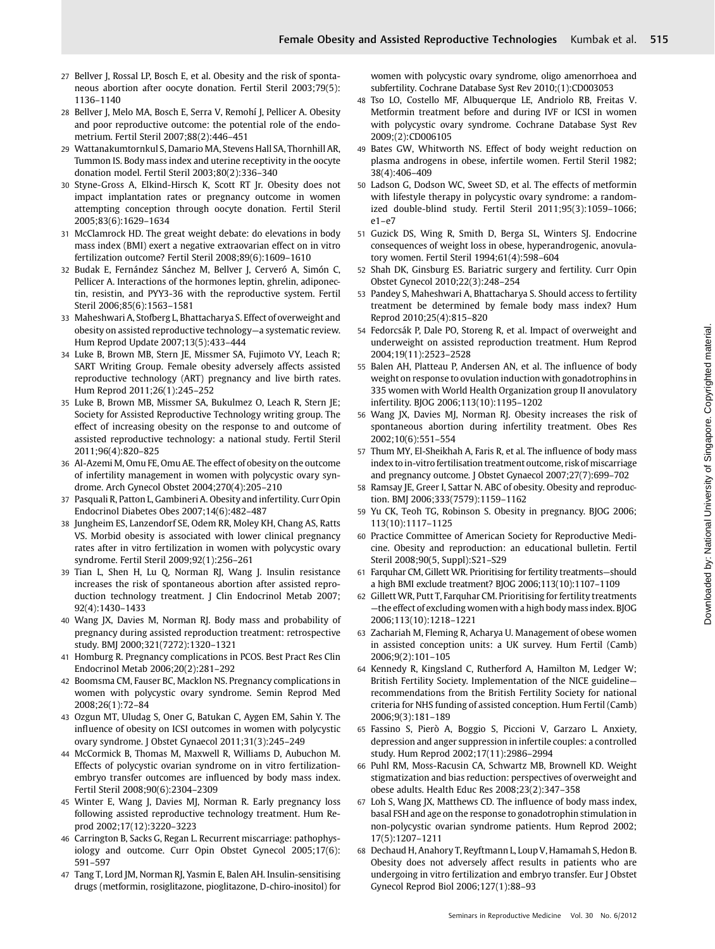- 27 Bellver J, Rossal LP, Bosch E, et al. Obesity and the risk of spontaneous abortion after oocyte donation. Fertil Steril 2003;79(5): 1136–1140
- 28 Bellver J, Melo MA, Bosch E, Serra V, Remohí J, Pellicer A. Obesity and poor reproductive outcome: the potential role of the endometrium. Fertil Steril 2007;88(2):446–451
- 29 Wattanakumtornkul S, Damario MA, Stevens Hall SA, Thornhill AR, Tummon IS. Body mass index and uterine receptivity in the oocyte donation model. Fertil Steril 2003;80(2):336–340
- 30 Styne-Gross A, Elkind-Hirsch K, Scott RT Jr. Obesity does not impact implantation rates or pregnancy outcome in women attempting conception through oocyte donation. Fertil Steril 2005;83(6):1629–1634
- 31 McClamrock HD. The great weight debate: do elevations in body mass index (BMI) exert a negative extraovarian effect on in vitro fertilization outcome? Fertil Steril 2008;89(6):1609–1610
- 32 Budak E, Fernández Sánchez M, Bellver J, Cerveró A, Simón C, Pellicer A. Interactions of the hormones leptin, ghrelin, adiponectin, resistin, and PYY3-36 with the reproductive system. Fertil Steril 2006;85(6):1563–1581
- 33 Maheshwari A, Stofberg L, Bhattacharya S. Effect of overweight and obesity on assisted reproductive technology—a systematic review. Hum Reprod Update 2007;13(5):433–444
- 34 Luke B, Brown MB, Stern JE, Missmer SA, Fujimoto VY, Leach R; SART Writing Group. Female obesity adversely affects assisted reproductive technology (ART) pregnancy and live birth rates. Hum Reprod 2011;26(1):245–252
- 35 Luke B, Brown MB, Missmer SA, Bukulmez O, Leach R, Stern JE; Society for Assisted Reproductive Technology writing group. The effect of increasing obesity on the response to and outcome of assisted reproductive technology: a national study. Fertil Steril 2011;96(4):820–825
- 36 Al-Azemi M, Omu FE, Omu AE. The effect of obesity on the outcome of infertility management in women with polycystic ovary syndrome. Arch Gynecol Obstet 2004;270(4):205–210
- 37 Pasquali R, Patton L, Gambineri A. Obesity and infertility. Curr Opin Endocrinol Diabetes Obes 2007;14(6):482–487
- 38 Jungheim ES, Lanzendorf SE, Odem RR, Moley KH, Chang AS, Ratts VS. Morbid obesity is associated with lower clinical pregnancy rates after in vitro fertilization in women with polycystic ovary syndrome. Fertil Steril 2009;92(1):256–261
- 39 Tian L, Shen H, Lu Q, Norman RJ, Wang J. Insulin resistance increases the risk of spontaneous abortion after assisted reproduction technology treatment. J Clin Endocrinol Metab 2007; 92(4):1430–1433
- 40 Wang JX, Davies M, Norman RJ. Body mass and probability of pregnancy during assisted reproduction treatment: retrospective study. BMJ 2000;321(7272):1320–1321
- 41 Homburg R. Pregnancy complications in PCOS. Best Pract Res Clin Endocrinol Metab 2006;20(2):281–292
- 42 Boomsma CM, Fauser BC, Macklon NS. Pregnancy complications in women with polycystic ovary syndrome. Semin Reprod Med 2008;26(1):72–84
- 43 Ozgun MT, Uludag S, Oner G, Batukan C, Aygen EM, Sahin Y. The influence of obesity on ICSI outcomes in women with polycystic ovary syndrome. J Obstet Gynaecol 2011;31(3):245–249
- 44 McCormick B, Thomas M, Maxwell R, Williams D, Aubuchon M. Effects of polycystic ovarian syndrome on in vitro fertilizationembryo transfer outcomes are influenced by body mass index. Fertil Steril 2008;90(6):2304–2309
- 45 Winter E, Wang J, Davies MJ, Norman R. Early pregnancy loss following assisted reproductive technology treatment. Hum Reprod 2002;17(12):3220–3223
- 46 Carrington B, Sacks G, Regan L. Recurrent miscarriage: pathophysiology and outcome. Curr Opin Obstet Gynecol 2005;17(6): 591–597
- 47 Tang T, Lord JM, Norman RJ, Yasmin E, Balen AH. Insulin-sensitising drugs (metformin, rosiglitazone, pioglitazone, D-chiro-inositol) for

women with polycystic ovary syndrome, oligo amenorrhoea and subfertility. Cochrane Database Syst Rev 2010;(1):CD003053

- 48 Tso LO, Costello MF, Albuquerque LE, Andriolo RB, Freitas V. Metformin treatment before and during IVF or ICSI in women with polycystic ovary syndrome. Cochrane Database Syst Rev 2009;(2):CD006105
- 49 Bates GW, Whitworth NS. Effect of body weight reduction on plasma androgens in obese, infertile women. Fertil Steril 1982; 38(4):406–409
- 50 Ladson G, Dodson WC, Sweet SD, et al. The effects of metformin with lifestyle therapy in polycystic ovary syndrome: a randomized double-blind study. Fertil Steril 2011;95(3):1059–1066; e1–e7
- 51 Guzick DS, Wing R, Smith D, Berga SL, Winters SJ. Endocrine consequences of weight loss in obese, hyperandrogenic, anovulatory women. Fertil Steril 1994;61(4):598–604
- 52 Shah DK, Ginsburg ES. Bariatric surgery and fertility. Curr Opin Obstet Gynecol 2010;22(3):248–254
- 53 Pandey S, Maheshwari A, Bhattacharya S. Should access to fertility treatment be determined by female body mass index? Hum Reprod 2010;25(4):815–820
- 54 Fedorcsák P, Dale PO, Storeng R, et al. Impact of overweight and underweight on assisted reproduction treatment. Hum Reprod 2004;19(11):2523–2528
- 55 Balen AH, Platteau P, Andersen AN, et al. The influence of body weight on response to ovulation induction with gonadotrophins in 335 women with World Health Organization group II anovulatory infertility. BJOG 2006;113(10):1195–1202
- 56 Wang JX, Davies MJ, Norman RJ. Obesity increases the risk of spontaneous abortion during infertility treatment. Obes Res 2002;10(6):551–554
- 57 Thum MY, El-Sheikhah A, Faris R, et al. The influence of body mass index to in-vitro fertilisation treatment outcome, risk of miscarriage and pregnancy outcome. J Obstet Gynaecol 2007;27(7):699–702
- 58 Ramsay JE, Greer I, Sattar N. ABC of obesity. Obesity and reproduction. BMJ 2006;333(7579):1159–1162
- 59 Yu CK, Teoh TG, Robinson S. Obesity in pregnancy. BJOG 2006; 113(10):1117–1125
- 60 Practice Committee of American Society for Reproductive Medicine. Obesity and reproduction: an educational bulletin. Fertil Steril 2008;90(5, Suppl):S21–S29
- 61 Farquhar CM, Gillett WR. Prioritising for fertility treatments—should a high BMI exclude treatment? BJOG 2006;113(10):1107–1109
- 62 Gillett WR, Putt T, Farquhar CM. Prioritising for fertility treatments —the effect of excluding women with a high body mass index. BJOG 2006;113(10):1218–1221
- 63 Zachariah M, Fleming R, Acharya U. Management of obese women in assisted conception units: a UK survey. Hum Fertil (Camb) 2006;9(2):101–105
- 64 Kennedy R, Kingsland C, Rutherford A, Hamilton M, Ledger W; British Fertility Society. Implementation of the NICE guideline recommendations from the British Fertility Society for national criteria for NHS funding of assisted conception. Hum Fertil (Camb) 2006;9(3):181–189
- 65 Fassino S, Pierò A, Boggio S, Piccioni V, Garzaro L. Anxiety, depression and anger suppression in infertile couples: a controlled study. Hum Reprod 2002;17(11):2986–2994
- 66 Puhl RM, Moss-Racusin CA, Schwartz MB, Brownell KD. Weight stigmatization and bias reduction: perspectives of overweight and obese adults. Health Educ Res 2008;23(2):347–358
- 67 Loh S, Wang JX, Matthews CD. The influence of body mass index, basal FSH and age on the response to gonadotrophin stimulation in non-polycystic ovarian syndrome patients. Hum Reprod 2002; 17(5):1207–1211
- 68 Dechaud H, Anahory T, Reyftmann L, Loup V, Hamamah S, Hedon B. Obesity does not adversely affect results in patients who are undergoing in vitro fertilization and embryo transfer. Eur J Obstet Gynecol Reprod Biol 2006;127(1):88–93